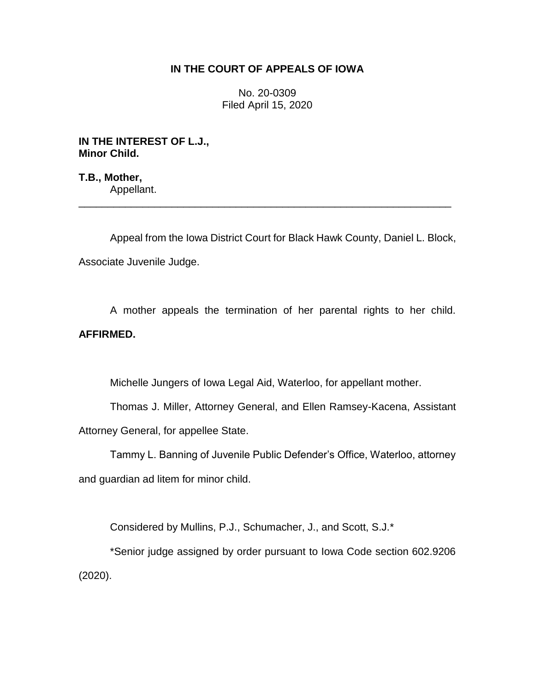## **IN THE COURT OF APPEALS OF IOWA**

No. 20-0309 Filed April 15, 2020

**IN THE INTEREST OF L.J., Minor Child.**

**T.B., Mother,** Appellant.

Appeal from the Iowa District Court for Black Hawk County, Daniel L. Block, Associate Juvenile Judge.

\_\_\_\_\_\_\_\_\_\_\_\_\_\_\_\_\_\_\_\_\_\_\_\_\_\_\_\_\_\_\_\_\_\_\_\_\_\_\_\_\_\_\_\_\_\_\_\_\_\_\_\_\_\_\_\_\_\_\_\_\_\_\_\_

A mother appeals the termination of her parental rights to her child. **AFFIRMED.** 

Michelle Jungers of Iowa Legal Aid, Waterloo, for appellant mother.

Thomas J. Miller, Attorney General, and Ellen Ramsey-Kacena, Assistant Attorney General, for appellee State.

Tammy L. Banning of Juvenile Public Defender's Office, Waterloo, attorney and guardian ad litem for minor child.

Considered by Mullins, P.J., Schumacher, J., and Scott, S.J.\*

\*Senior judge assigned by order pursuant to Iowa Code section 602.9206 (2020).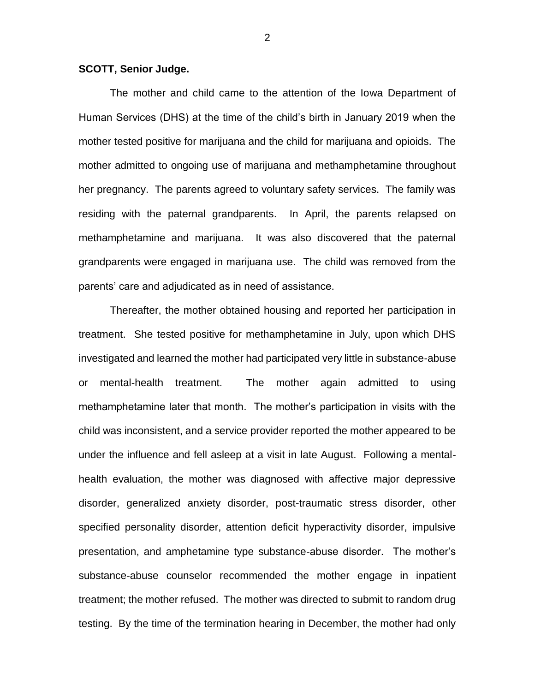## **SCOTT, Senior Judge.**

The mother and child came to the attention of the Iowa Department of Human Services (DHS) at the time of the child's birth in January 2019 when the mother tested positive for marijuana and the child for marijuana and opioids. The mother admitted to ongoing use of marijuana and methamphetamine throughout her pregnancy. The parents agreed to voluntary safety services. The family was residing with the paternal grandparents. In April, the parents relapsed on methamphetamine and marijuana. It was also discovered that the paternal grandparents were engaged in marijuana use. The child was removed from the parents' care and adjudicated as in need of assistance.

Thereafter, the mother obtained housing and reported her participation in treatment. She tested positive for methamphetamine in July, upon which DHS investigated and learned the mother had participated very little in substance-abuse or mental-health treatment. The mother again admitted to using methamphetamine later that month. The mother's participation in visits with the child was inconsistent, and a service provider reported the mother appeared to be under the influence and fell asleep at a visit in late August. Following a mentalhealth evaluation, the mother was diagnosed with affective major depressive disorder, generalized anxiety disorder, post-traumatic stress disorder, other specified personality disorder, attention deficit hyperactivity disorder, impulsive presentation, and amphetamine type substance-abuse disorder. The mother's substance-abuse counselor recommended the mother engage in inpatient treatment; the mother refused. The mother was directed to submit to random drug testing. By the time of the termination hearing in December, the mother had only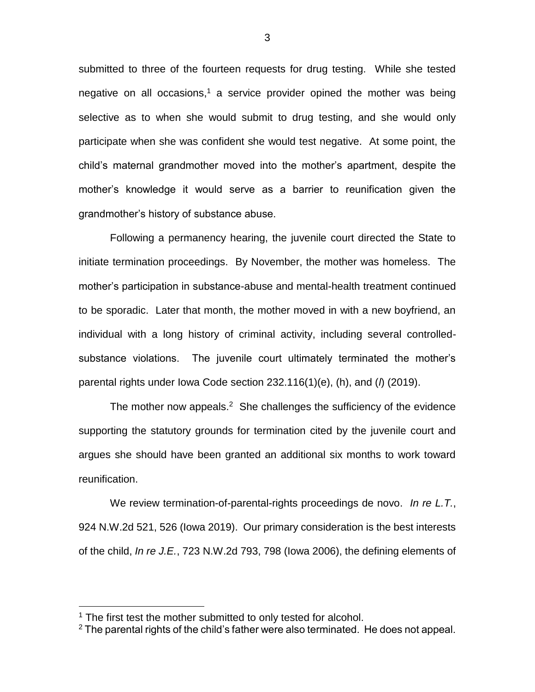submitted to three of the fourteen requests for drug testing. While she tested negative on all occasions,<sup>1</sup> a service provider opined the mother was being selective as to when she would submit to drug testing, and she would only participate when she was confident she would test negative. At some point, the child's maternal grandmother moved into the mother's apartment, despite the mother's knowledge it would serve as a barrier to reunification given the grandmother's history of substance abuse.

Following a permanency hearing, the juvenile court directed the State to initiate termination proceedings. By November, the mother was homeless. The mother's participation in substance-abuse and mental-health treatment continued to be sporadic. Later that month, the mother moved in with a new boyfriend, an individual with a long history of criminal activity, including several controlledsubstance violations. The juvenile court ultimately terminated the mother's parental rights under Iowa Code section 232.116(1)(e), (h), and (*l*) (2019).

The mother now appeals. $2$  She challenges the sufficiency of the evidence supporting the statutory grounds for termination cited by the juvenile court and argues she should have been granted an additional six months to work toward reunification.

We review termination-of-parental-rights proceedings de novo. *In re L.T.*, 924 N.W.2d 521, 526 (Iowa 2019). Our primary consideration is the best interests of the child, *In re J.E.*, 723 N.W.2d 793, 798 (Iowa 2006), the defining elements of

 $\overline{a}$ 

<sup>&</sup>lt;sup>1</sup> The first test the mother submitted to only tested for alcohol.

 $2$  The parental rights of the child's father were also terminated. He does not appeal.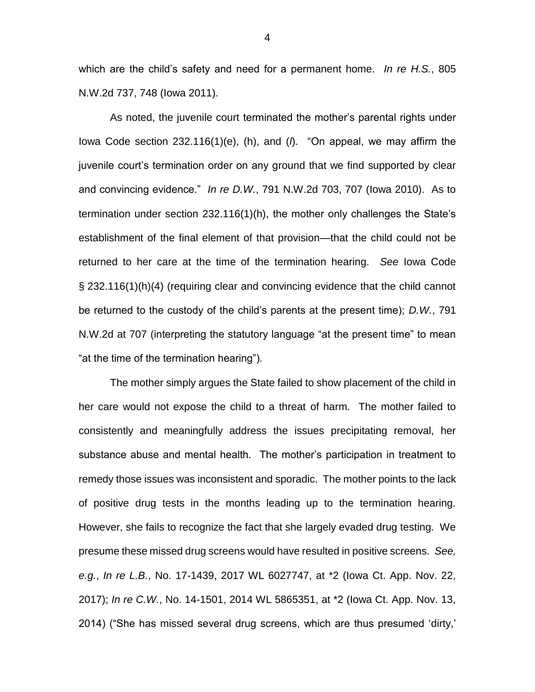which are the child's safety and need for a permanent home. *In re H.S.*, 805 N.W.2d 737, 748 (Iowa 2011).

As noted, the juvenile court terminated the mother's parental rights under Iowa Code section 232.116(1)(e), (h), and (*l*). "On appeal, we may affirm the juvenile court's termination order on any ground that we find supported by clear and convincing evidence." *In re D.W.*, 791 N.W.2d 703, 707 (Iowa 2010). As to termination under section 232.116(1)(h), the mother only challenges the State's establishment of the final element of that provision—that the child could not be returned to her care at the time of the termination hearing. *See* Iowa Code § 232.116(1)(h)(4) (requiring clear and convincing evidence that the child cannot be returned to the custody of the child's parents at the present time); *D.W.*, 791 N.W.2d at 707 (interpreting the statutory language "at the present time" to mean "at the time of the termination hearing").

The mother simply argues the State failed to show placement of the child in her care would not expose the child to a threat of harm. The mother failed to consistently and meaningfully address the issues precipitating removal, her substance abuse and mental health. The mother's participation in treatment to remedy those issues was inconsistent and sporadic. The mother points to the lack of positive drug tests in the months leading up to the termination hearing. However, she fails to recognize the fact that she largely evaded drug testing. We presume these missed drug screens would have resulted in positive screens. *See, e.g.*, *In re L.B.*, No. 17-1439, 2017 WL 6027747, at \*2 (Iowa Ct. App. Nov. 22, 2017); *In re C.W.*, No. 14-1501, 2014 WL 5865351, at \*2 (Iowa Ct. App. Nov. 13, 2014) ("She has missed several drug screens, which are thus presumed 'dirty,'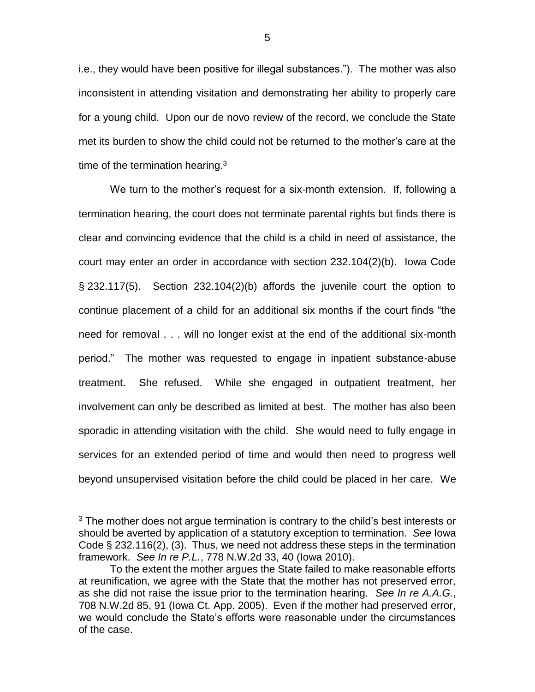i.e., they would have been positive for illegal substances."). The mother was also inconsistent in attending visitation and demonstrating her ability to properly care for a young child. Upon our de novo review of the record, we conclude the State met its burden to show the child could not be returned to the mother's care at the time of the termination hearing. $3$ 

We turn to the mother's request for a six-month extension. If, following a termination hearing, the court does not terminate parental rights but finds there is clear and convincing evidence that the child is a child in need of assistance, the court may enter an order in accordance with section 232.104(2)(b). Iowa Code § 232.117(5). Section 232.104(2)(b) affords the juvenile court the option to continue placement of a child for an additional six months if the court finds "the need for removal . . . will no longer exist at the end of the additional six-month period." The mother was requested to engage in inpatient substance-abuse treatment. She refused. While she engaged in outpatient treatment, her involvement can only be described as limited at best. The mother has also been sporadic in attending visitation with the child. She would need to fully engage in services for an extended period of time and would then need to progress well beyond unsupervised visitation before the child could be placed in her care. We

 $\overline{a}$ 

 $3$  The mother does not argue termination is contrary to the child's best interests or should be averted by application of a statutory exception to termination. *See* Iowa Code § 232.116(2), (3). Thus, we need not address these steps in the termination framework. *See In re P.L.*, 778 N.W.2d 33, 40 (Iowa 2010).

To the extent the mother argues the State failed to make reasonable efforts at reunification, we agree with the State that the mother has not preserved error, as she did not raise the issue prior to the termination hearing. *See In re A.A.G.*, 708 N.W.2d 85, 91 (Iowa Ct. App. 2005). Even if the mother had preserved error, we would conclude the State's efforts were reasonable under the circumstances of the case.